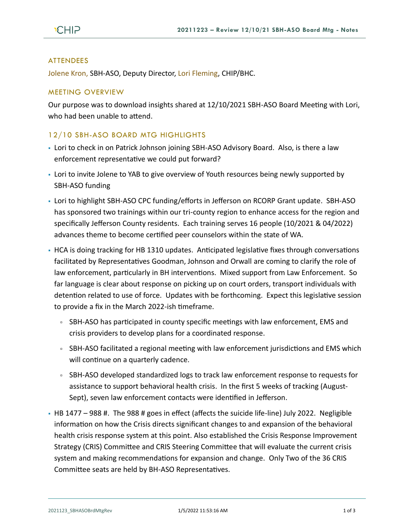## ATTENDEES

Jolene Kron, SBH-ASO, Deputy Director, Lori Fleming, CHIP/BHC.

## MEETING OVERVIEW

Our purpose was to download insights shared at 12/10/2021 SBH-ASO Board Meeting with Lori, who had been unable to attend.

## 12/10 SBH-ASO BOARD MTG HIGHLIGHTS

- Lori to check in on Patrick Johnson joining SBH-ASO Advisory Board. Also, is there a law enforcement representative we could put forward?
- Lori to invite Jolene to YAB to give overview of Youth resources being newly supported by SBH-ASO funding
- Lori to highlight SBH-ASO CPC funding/efforts in Jefferson on RCORP Grant update. SBH-ASO has sponsored two trainings within our tri-county region to enhance access for the region and specifically Jefferson County residents. Each training serves 16 people (10/2021 & 04/2022) advances theme to become certified peer counselors within the state of WA.
- **HCA is doing tracking for HB 1310 updates. Anticipated legislative fixes through conversations** facilitated by Representatives Goodman, Johnson and Orwall are coming to clarify the role of law enforcement, particularly in BH interventions. Mixed support from Law Enforcement. So far language is clear about response on picking up on court orders, transport individuals with detention related to use of force. Updates with be forthcoming. Expect this legislative session to provide a fix in the March 2022-ish timeframe.
	- SBH-ASO has participated in county specific meetings with law enforcement, EMS and crisis providers to develop plans for a coordinated response.
	- SBH-ASO facilitated a regional meeting with law enforcement jurisdictions and EMS which will continue on a quarterly cadence.
	- SBH-ASO developed standardized logs to track law enforcement response to requests for assistance to support behavioral health crisis. In the first 5 weeks of tracking (August-Sept), seven law enforcement contacts were identified in Jefferson.
- $\cdot$  HB 1477 988 #. The 988 # goes in effect (affects the suicide life-line) July 2022. Negligible information on how the Crisis directs significant changes to and expansion of the behavioral health crisis response system at this point. Also established the Crisis Response Improvement Strategy (CRIS) Committee and CRIS Steering Committee that will evaluate the current crisis system and making recommendations for expansion and change. Only Two of the 36 CRIS Committee seats are held by BH-ASO Representatives.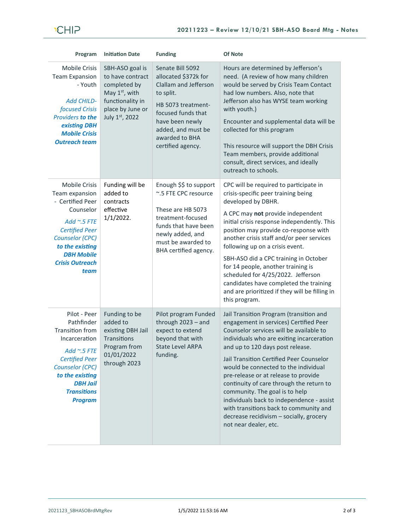## **CHIP**

| Program                                                                                                                                                                                                                     | <b>Initiation Date</b>                                                                                                                      | <b>Funding</b>                                                                                                                                                                                             | Of Note                                                                                                                                                                                                                                                                                                                                                                                                                                                                                                                                                                            |
|-----------------------------------------------------------------------------------------------------------------------------------------------------------------------------------------------------------------------------|---------------------------------------------------------------------------------------------------------------------------------------------|------------------------------------------------------------------------------------------------------------------------------------------------------------------------------------------------------------|------------------------------------------------------------------------------------------------------------------------------------------------------------------------------------------------------------------------------------------------------------------------------------------------------------------------------------------------------------------------------------------------------------------------------------------------------------------------------------------------------------------------------------------------------------------------------------|
| <b>Mobile Crisis</b><br><b>Team Expansion</b><br>- Youth<br><b>Add CHILD-</b><br>focused Crisis<br>Providers to the<br>existing DBH<br><b>Mobile Crisis</b><br><b>Outreach team</b>                                         | SBH-ASO goal is<br>to have contract<br>completed by<br>May 1 <sup>st</sup> , with<br>functionality in<br>place by June or<br>July 1st, 2022 | Senate Bill 5092<br>allocated \$372k for<br>Clallam and Jefferson<br>to split.<br>HB 5073 treatment-<br>focused funds that<br>have been newly<br>added, and must be<br>awarded to BHA<br>certified agency. | Hours are determined by Jefferson's<br>need. (A review of how many children<br>would be served by Crisis Team Contact<br>had low numbers. Also, note that<br>Jefferson also has WYSE team working<br>with youth.)<br>Encounter and supplemental data will be<br>collected for this program<br>This resource will support the DBH Crisis<br>Team members, provide additional<br>consult, direct services, and ideally<br>outreach to schools.                                                                                                                                       |
| <b>Mobile Crisis</b><br>Team expansion<br>- Certified Peer<br>Counselor<br>Add $\sim$ .5 FTE<br><b>Certified Peer</b><br><b>Counselor (CPC)</b><br>to the existing<br><b>DBH Mobile</b><br><b>Crisis Outreach</b><br>team   | Funding will be<br>added to<br>contracts<br>effective<br>$1/1/2022$ .                                                                       | Enough \$\$ to support<br>~.5 FTE CPC resource<br>These are HB 5073<br>treatment-focused<br>funds that have been<br>newly added, and<br>must be awarded to<br>BHA certified agency.                        | CPC will be required to participate in<br>crisis-specific peer training being<br>developed by DBHR.<br>A CPC may not provide independent<br>initial crisis response independently. This<br>position may provide co-response with<br>another crisis staff and/or peer services<br>following up on a crisis event.<br>SBH-ASO did a CPC training in October<br>for 14 people, another training is<br>scheduled for 4/25/2022. Jefferson<br>candidates have completed the training<br>and are prioritized if they will be filling in<br>this program.                                 |
| Pilot - Peer<br>Pathfinder<br><b>Transition from</b><br>Incarceration<br>Add $\sim$ .5 FTE<br><b>Certified Peer</b><br><b>Counselor (CPC)</b><br>to the existing<br><b>DBH Jail</b><br><b>Transitions</b><br><b>Program</b> | Funding to be<br>added to<br>existing DBH Jail<br>Transitions<br>Program from<br>01/01/2022<br>through 2023                                 | Pilot program Funded<br>through 2023 - and<br>expect to extend<br>beyond that with<br><b>State Level ARPA</b><br>funding.                                                                                  | Jail Transition Program (transition and<br>engagement in services) Certified Peer<br>Counselor services will be available to<br>individuals who are exiting incarceration<br>and up to 120 days post release.<br>Jail Transition Certified Peer Counselor<br>would be connected to the individual<br>pre-release or at release to provide<br>continuity of care through the return to<br>community. The goal is to help<br>individuals back to independence - assist<br>with transitions back to community and<br>decrease recidivism - socially, grocery<br>not near dealer, etc. |